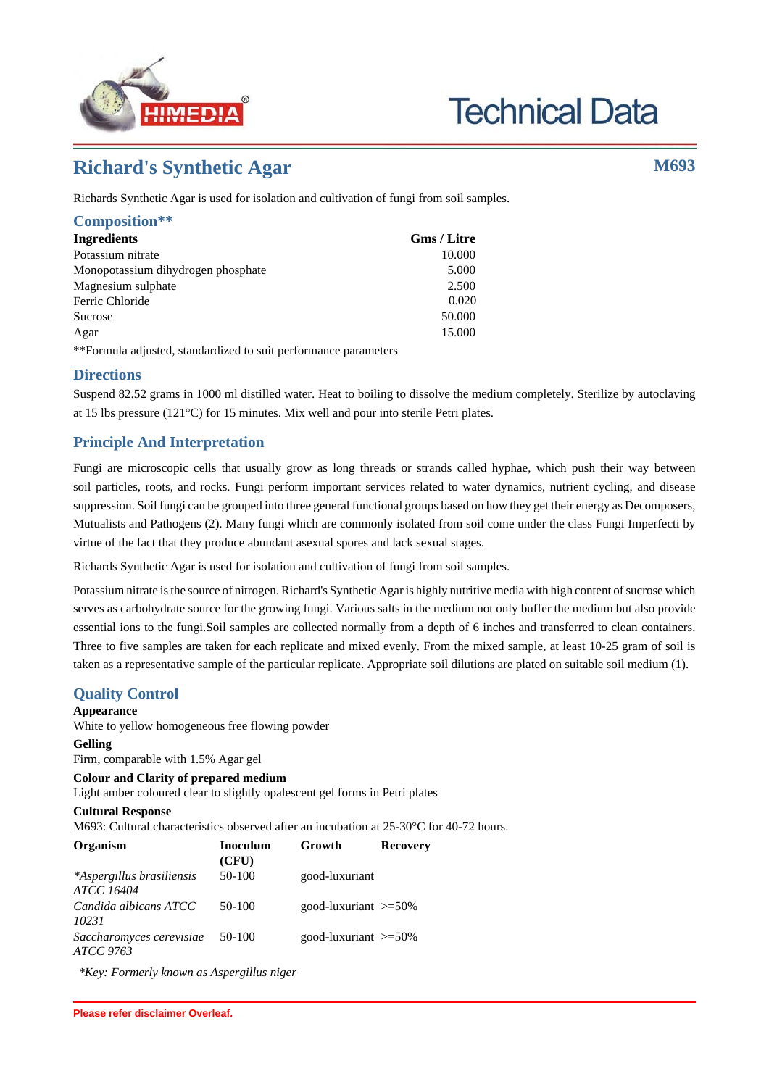

# **Technical Data**

# **Richard's Synthetic Agar M693**

Richards Synthetic Agar is used for isolation and cultivation of fungi from soil samples.

| Composition**                      |                    |
|------------------------------------|--------------------|
| <b>Ingredients</b>                 | <b>Gms</b> / Litre |
| Potassium nitrate                  | 10.000             |
| Monopotassium dihydrogen phosphate | 5.000              |
| Magnesium sulphate                 | 2.500              |
| Ferric Chloride                    | 0.020              |
| Sucrose                            | 50.000             |
| Agar                               | 15.000             |

\*\*Formula adjusted, standardized to suit performance parameters

### **Directions**

Suspend 82.52 grams in 1000 ml distilled water. Heat to boiling to dissolve the medium completely. Sterilize by autoclaving at 15 lbs pressure (121°C) for 15 minutes. Mix well and pour into sterile Petri plates.

# **Principle And Interpretation**

Fungi are microscopic cells that usually grow as long threads or strands called hyphae, which push their way between soil particles, roots, and rocks. Fungi perform important services related to water dynamics, nutrient cycling, and disease suppression. Soil fungi can be grouped into three general functional groups based on how they get their energy as Decomposers, Mutualists and Pathogens (2). Many fungi which are commonly isolated from soil come under the class Fungi Imperfecti by virtue of the fact that they produce abundant asexual spores and lack sexual stages.

Richards Synthetic Agar is used for isolation and cultivation of fungi from soil samples.

Potassium nitrate is the source of nitrogen. Richard's Synthetic Agar is highly nutritive media with high content of sucrose which serves as carbohydrate source for the growing fungi. Various salts in the medium not only buffer the medium but also provide essential ions to the fungi.Soil samples are collected normally from a depth of 6 inches and transferred to clean containers. Three to five samples are taken for each replicate and mixed evenly. From the mixed sample, at least 10-25 gram of soil is taken as a representative sample of the particular replicate. Appropriate soil dilutions are plated on suitable soil medium (1).

# **Quality Control**

#### **Appearance**

White to yellow homogeneous free flowing powder

#### **Gelling**

Firm, comparable with 1.5% Agar gel

#### **Colour and Clarity of prepared medium**

Light amber coloured clear to slightly opalescent gel forms in Petri plates

#### **Cultural Response**

M693: Cultural characteristics observed after an incubation at 25-30°C for 40-72 hours.

| Organism                                       | <b>Inoculum</b><br>(CFU) | Growth                     | <b>Recovery</b> |
|------------------------------------------------|--------------------------|----------------------------|-----------------|
| *Aspergillus brasiliensis<br><b>ATCC 16404</b> | 50-100                   | good-luxuriant             |                 |
| Candida albicans ATCC<br>10231                 | $50-100$                 | good-luxuriant $\geq 50\%$ |                 |
| Saccharomyces cerevisiae<br>ATCC 9763          | 50-100                   | good-luxuriant $\geq 50\%$ |                 |

*\*Key: Formerly known as Aspergillus niger*